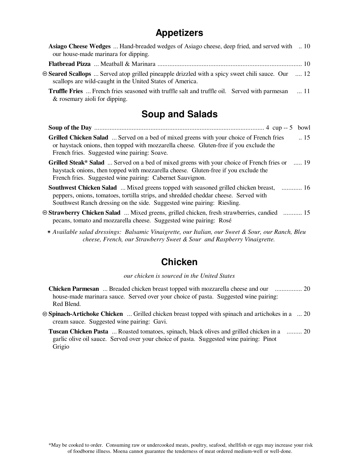# **Appetizers**

| <b>Asiago Cheese Wedges</b> Hand-breaded wedges of Asiago cheese, deep fried, and served with  10<br>our house-made marinara for dipping.                                                                                                                       |
|-----------------------------------------------------------------------------------------------------------------------------------------------------------------------------------------------------------------------------------------------------------------|
|                                                                                                                                                                                                                                                                 |
| <b>Example 3 Seared Scallops</b> Served atop grilled pineapple drizzled with a spicy sweet chili sauce. Our  12<br>scallops are wild-caught in the United States of America.                                                                                    |
| Truffle Fries  French fries seasoned with truffle salt and truffle oil. Served with parmesan  11<br>& rosemary aioli for dipping.                                                                                                                               |
| <b>Soup and Salads</b>                                                                                                                                                                                                                                          |
| bowl                                                                                                                                                                                                                                                            |
| $\therefore$ 15<br><b>Grilled Chicken Salad</b> Served on a bed of mixed greens with your choice of French fries<br>or haystack onions, then topped with mozzarella cheese. Gluten-free if you exclude the<br>French fries. Suggested wine pairing: Soave.      |
| <b>Grilled Steak* Salad</b> Served on a bed of mixed greens with your choice of French fries or  19<br>haystack onions, then topped with mozzarella cheese. Gluten-free if you exclude the<br>French fries. Suggested wine pairing: Cabernet Sauvignon.         |
| <b>Southwest Chicken Salad</b> Mixed greens topped with seasoned grilled chicken breast,  16<br>peppers, onions, tomatoes, tortilla strips, and shredded cheddar cheese. Served with<br>Southwest Ranch dressing on the side. Suggested wine pairing: Riesling. |
| <b>Example Strawberry Chicken Salad</b> Mixed greens, grilled chicken, fresh strawberries, candied  15<br>pecans, tomato and mozzarella cheese. Suggested wine pairing: Rosé                                                                                    |
| $\star$ Available salad dressings: Ralsamic Vingiarette, our Italian, our Sweet & Sour, our Panch, Play                                                                                                                                                         |

## **Chicken**

*our chicken is sourced in the United States*

- **Chicken Parmesan** ... Breaded chicken breast topped with mozzarella cheese and our ................ 20 house-made marinara sauce. Served over your choice of pasta. Suggested wine pairing: Red Blend.
- Ô **Spinach-Artichoke Chicken** ... Grilled chicken breast topped with spinach and artichokes in a ... 20 cream sauce. Suggested wine pairing: Gavi.

**Tuscan Chicken Pasta** ... Roasted tomatoes, spinach, black olives and grilled chicken in a ......... 20garlic olive oil sauce. Served over your choice of pasta. Suggested wine pairing: Pinot Grigio

*Available salad dressings: Balsamic Vinaigrette, our Italian, our Sweet & Sour, our Ranch, Bleu* Ï *cheese, French, our Strawberry Sweet & Sour and Raspberry Vinaigrette.*